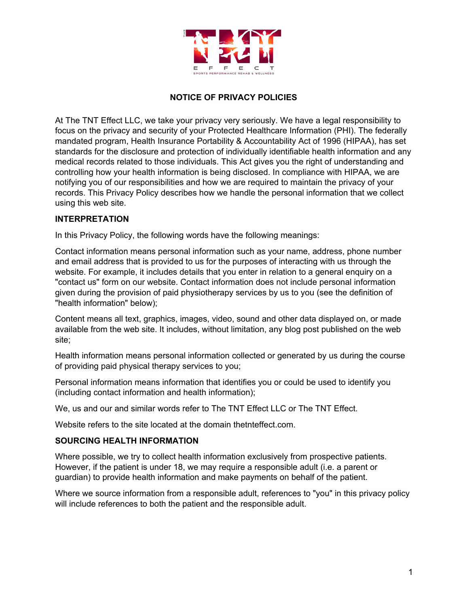

# **NOTICE OF PRIVACY POLICIES**

At The TNT Effect LLC, we take your privacy very seriously. We have a legal responsibility to focus on the privacy and security of your Protected Healthcare Information (PHI). The federally mandated program, Health Insurance Portability & Accountability Act of 1996 (HIPAA), has set standards for the disclosure and protection of individually identifiable health information and any medical records related to those individuals. This Act gives you the right of understanding and controlling how your health information is being disclosed. In compliance with HIPAA, we are notifying you of our responsibilities and how we are required to maintain the privacy of your records. This Privacy Policy describes how we handle the personal information that we collect using this web site.

#### **INTERPRETATION**

In this Privacy Policy, the following words have the following meanings:

Contact information means personal information such as your name, address, phone number and email address that is provided to us for the purposes of interacting with us through the website. For example, it includes details that you enter in relation to a general enquiry on a "contact us" form on our website. Contact information does not include personal information given during the provision of paid physiotherapy services by us to you (see the definition of "health information" below);

Content means all text, graphics, images, video, sound and other data displayed on, or made available from the web site. It includes, without limitation, any blog post published on the web site;

Health information means personal information collected or generated by us during the course of providing paid physical therapy services to you;

Personal information means information that identifies you or could be used to identify you (including contact information and health information);

We, us and our and similar words refer to The TNT Effect LLC or The TNT Effect.

Website refers to the site located at the domain thetnteffect.com.

#### **SOURCING HEALTH INFORMATION**

Where possible, we try to collect health information exclusively from prospective patients. However, if the patient is under 18, we may require a responsible adult (i.e. a parent or guardian) to provide health information and make payments on behalf of the patient.

Where we source information from a responsible adult, references to "you" in this privacy policy will include references to both the patient and the responsible adult.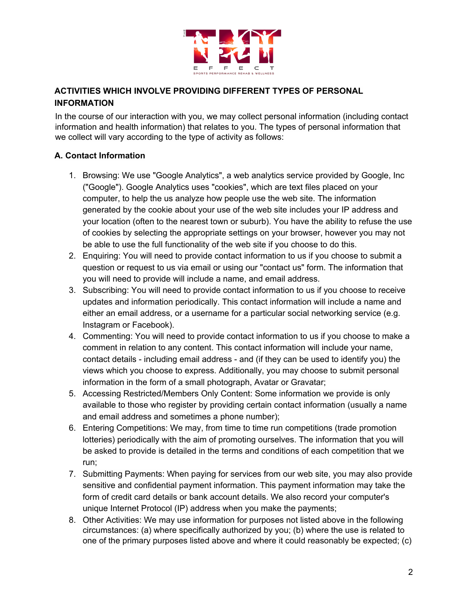

# **ACTIVITIES WHICH INVOLVE PROVIDING DIFFERENT TYPES OF PERSONAL INFORMATION**

In the course of our interaction with you, we may collect personal information (including contact information and health information) that relates to you. The types of personal information that we collect will vary according to the type of activity as follows:

## **A. Contact Information**

- 1. Browsing: We use "Google Analytics", a web analytics service provided by Google, Inc ("Google"). Google Analytics uses "cookies", which are text files placed on your computer, to help the us analyze how people use the web site. The information generated by the cookie about your use of the web site includes your IP address and your location (often to the nearest town or suburb). You have the ability to refuse the use of cookies by selecting the appropriate settings on your browser, however you may not be able to use the full functionality of the web site if you choose to do this.
- 2. Enquiring: You will need to provide contact information to us if you choose to submit a question or request to us via email or using our "contact us" form. The information that you will need to provide will include a name, and email address.
- 3. Subscribing: You will need to provide contact information to us if you choose to receive updates and information periodically. This contact information will include a name and either an email address, or a username for a particular social networking service (e.g. Instagram or Facebook).
- 4. Commenting: You will need to provide contact information to us if you choose to make a comment in relation to any content. This contact information will include your name, contact details - including email address - and (if they can be used to identify you) the views which you choose to express. Additionally, you may choose to submit personal information in the form of a small photograph, Avatar or Gravatar;
- 5. Accessing Restricted/Members Only Content: Some information we provide is only available to those who register by providing certain contact information (usually a name and email address and sometimes a phone number);
- 6. Entering Competitions: We may, from time to time run competitions (trade promotion lotteries) periodically with the aim of promoting ourselves. The information that you will be asked to provide is detailed in the terms and conditions of each competition that we run;
- 7. Submitting Payments: When paying for services from our web site, you may also provide sensitive and confidential payment information. This payment information may take the form of credit card details or bank account details. We also record your computer's unique Internet Protocol (IP) address when you make the payments;
- 8. Other Activities: We may use information for purposes not listed above in the following circumstances: (a) where specifically authorized by you; (b) where the use is related to one of the primary purposes listed above and where it could reasonably be expected; (c)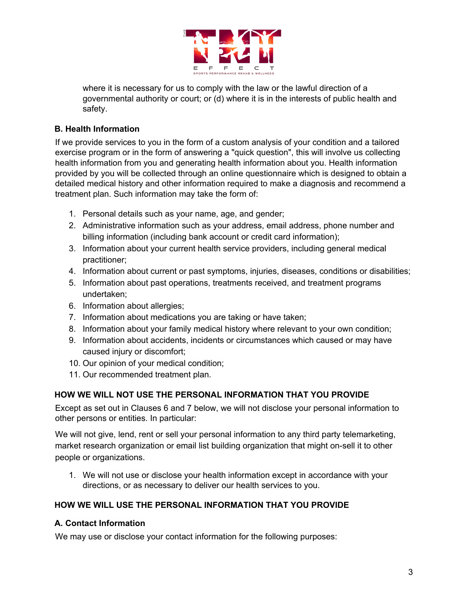

where it is necessary for us to comply with the law or the lawful direction of a governmental authority or court; or (d) where it is in the interests of public health and safety.

# **B. Health Information**

If we provide services to you in the form of a custom analysis of your condition and a tailored exercise program or in the form of answering a "quick question", this will involve us collecting health information from you and generating health information about you. Health information provided by you will be collected through an online questionnaire which is designed to obtain a detailed medical history and other information required to make a diagnosis and recommend a treatment plan. Such information may take the form of:

- 1. Personal details such as your name, age, and gender;
- 2. Administrative information such as your address, email address, phone number and billing information (including bank account or credit card information);
- 3. Information about your current health service providers, including general medical practitioner;
- 4. Information about current or past symptoms, injuries, diseases, conditions or disabilities;
- 5. Information about past operations, treatments received, and treatment programs undertaken;
- 6. Information about allergies;
- 7. Information about medications you are taking or have taken;
- 8. Information about your family medical history where relevant to your own condition;
- 9. Information about accidents, incidents or circumstances which caused or may have caused injury or discomfort;
- 10. Our opinion of your medical condition;
- 11. Our recommended treatment plan.

# **HOW WE WILL NOT USE THE PERSONAL INFORMATION THAT YOU PROVIDE**

Except as set out in Clauses 6 and 7 below, we will not disclose your personal information to other persons or entities. In particular:

We will not give, lend, rent or sell your personal information to any third party telemarketing, market research organization or email list building organization that might on-sell it to other people or organizations.

1. We will not use or disclose your health information except in accordance with your directions, or as necessary to deliver our health services to you.

# **HOW WE WILL USE THE PERSONAL INFORMATION THAT YOU PROVIDE**

## **A. Contact Information**

We may use or disclose your contact information for the following purposes: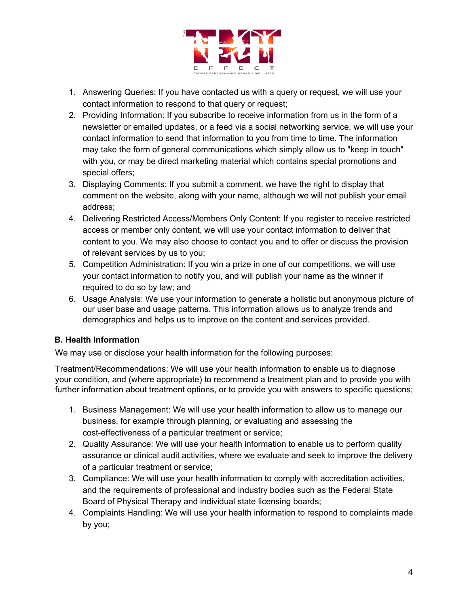

- 1. Answering Queries: If you have contacted us with a query or request, we will use your contact information to respond to that query or request;
- 2. Providing Information: If you subscribe to receive information from us in the form of a newsletter or emailed updates, or a feed via a social networking service, we will use your contact information to send that information to you from time to time. The information may take the form of general communications which simply allow us to "keep in touch" with you, or may be direct marketing material which contains special promotions and special offers;
- 3. Displaying Comments: If you submit a comment, we have the right to display that comment on the website, along with your name, although we will not publish your email address;
- 4. Delivering Restricted Access/Members Only Content: If you register to receive restricted access or member only content, we will use your contact information to deliver that content to you. We may also choose to contact you and to offer or discuss the provision of relevant services by us to you;
- 5. Competition Administration: If you win a prize in one of our competitions, we will use your contact information to notify you, and will publish your name as the winner if required to do so by law; and
- 6. Usage Analysis: We use your information to generate a holistic but anonymous picture of our user base and usage patterns. This information allows us to analyze trends and demographics and helps us to improve on the content and services provided.

## **B. Health Information**

We may use or disclose your health information for the following purposes:

Treatment/Recommendations: We will use your health information to enable us to diagnose your condition, and (where appropriate) to recommend a treatment plan and to provide you with further information about treatment options, or to provide you with answers to specific questions;

- 1. Business Management: We will use your health information to allow us to manage our business, for example through planning, or evaluating and assessing the cost-effectiveness of a particular treatment or service;
- 2. Quality Assurance: We will use your health information to enable us to perform quality assurance or clinical audit activities, where we evaluate and seek to improve the delivery of a particular treatment or service;
- 3. Compliance: We will use your health information to comply with accreditation activities, and the requirements of professional and industry bodies such as the Federal State Board of Physical Therapy and individual state licensing boards;
- 4. Complaints Handling: We will use your health information to respond to complaints made by you;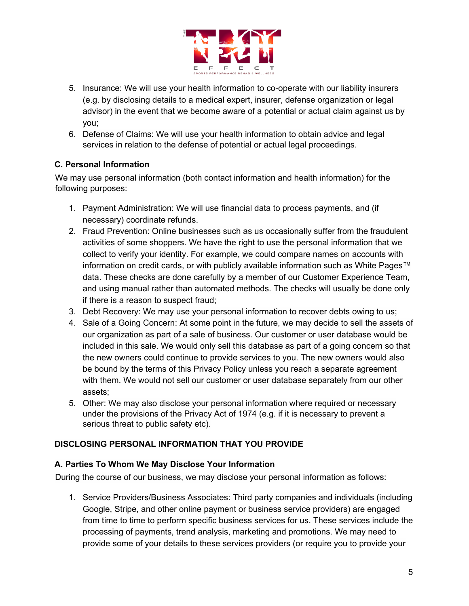

- 5. Insurance: We will use your health information to co-operate with our liability insurers (e.g. by disclosing details to a medical expert, insurer, defense organization or legal advisor) in the event that we become aware of a potential or actual claim against us by you;
- 6. Defense of Claims: We will use your health information to obtain advice and legal services in relation to the defense of potential or actual legal proceedings.

# **C. Personal Information**

We may use personal information (both contact information and health information) for the following purposes:

- 1. Payment Administration: We will use financial data to process payments, and (if necessary) coordinate refunds.
- 2. Fraud Prevention: Online businesses such as us occasionally suffer from the fraudulent activities of some shoppers. We have the right to use the personal information that we collect to verify your identity. For example, we could compare names on accounts with information on credit cards, or with publicly available information such as White Pages™ data. These checks are done carefully by a member of our Customer Experience Team, and using manual rather than automated methods. The checks will usually be done only if there is a reason to suspect fraud;
- 3. Debt Recovery: We may use your personal information to recover debts owing to us;
- 4. Sale of a Going Concern: At some point in the future, we may decide to sell the assets of our organization as part of a sale of business. Our customer or user database would be included in this sale. We would only sell this database as part of a going concern so that the new owners could continue to provide services to you. The new owners would also be bound by the terms of this Privacy Policy unless you reach a separate agreement with them. We would not sell our customer or user database separately from our other assets;
- 5. Other: We may also disclose your personal information where required or necessary under the provisions of the Privacy Act of 1974 (e.g. if it is necessary to prevent a serious threat to public safety etc).

## **DISCLOSING PERSONAL INFORMATION THAT YOU PROVIDE**

## **A. Parties To Whom We May Disclose Your Information**

During the course of our business, we may disclose your personal information as follows:

1. Service Providers/Business Associates: Third party companies and individuals (including Google, Stripe, and other online payment or business service providers) are engaged from time to time to perform specific business services for us. These services include the processing of payments, trend analysis, marketing and promotions. We may need to provide some of your details to these services providers (or require you to provide your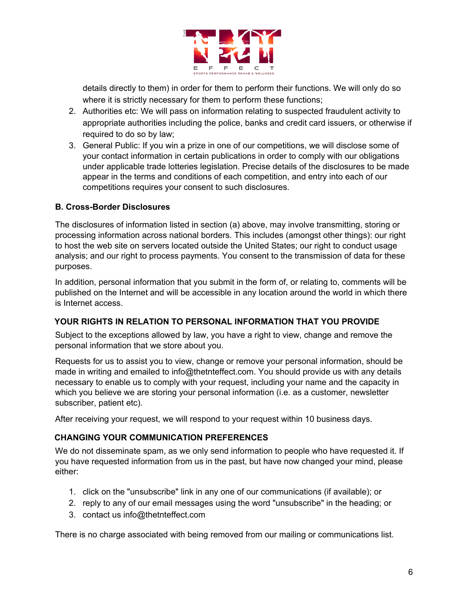

details directly to them) in order for them to perform their functions. We will only do so where it is strictly necessary for them to perform these functions;

- 2. Authorities etc: We will pass on information relating to suspected fraudulent activity to appropriate authorities including the police, banks and credit card issuers, or otherwise if required to do so by law;
- 3. General Public: If you win a prize in one of our competitions, we will disclose some of your contact information in certain publications in order to comply with our obligations under applicable trade lotteries legislation. Precise details of the disclosures to be made appear in the terms and conditions of each competition, and entry into each of our competitions requires your consent to such disclosures.

#### **B. Cross-Border Disclosures**

The disclosures of information listed in section (a) above, may involve transmitting, storing or processing information across national borders. This includes (amongst other things): our right to host the web site on servers located outside the United States; our right to conduct usage analysis; and our right to process payments. You consent to the transmission of data for these purposes.

In addition, personal information that you submit in the form of, or relating to, comments will be published on the Internet and will be accessible in any location around the world in which there is Internet access.

## **YOUR RIGHTS IN RELATION TO PERSONAL INFORMATION THAT YOU PROVIDE**

Subject to the exceptions allowed by law, you have a right to view, change and remove the personal information that we store about you.

Requests for us to assist you to view, change or remove your personal information, should be made in writing and emailed to info@thetnteffect.com. You should provide us with any details necessary to enable us to comply with your request, including your name and the capacity in which you believe we are storing your personal information (i.e. as a customer, newsletter subscriber, patient etc).

After receiving your request, we will respond to your request within 10 business days.

#### **CHANGING YOUR COMMUNICATION PREFERENCES**

We do not disseminate spam, as we only send information to people who have requested it. If you have requested information from us in the past, but have now changed your mind, please either:

- 1. click on the "unsubscribe" link in any one of our communications (if available); or
- 2. reply to any of our email messages using the word "unsubscribe" in the heading; or
- 3. contact us info@thetnteffect.com

There is no charge associated with being removed from our mailing or communications list.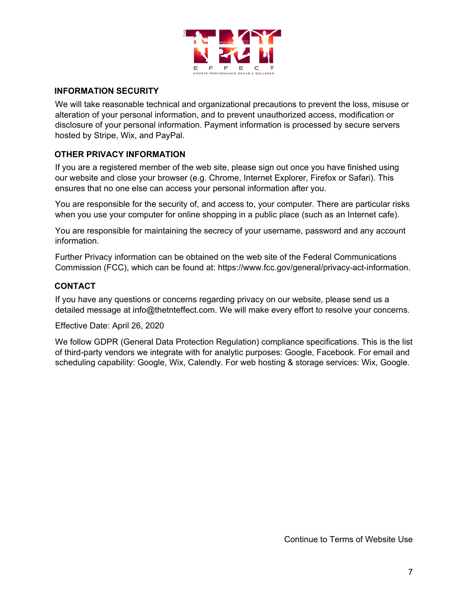

#### **INFORMATION SECURITY**

We will take reasonable technical and organizational precautions to prevent the loss, misuse or alteration of your personal information, and to prevent unauthorized access, modification or disclosure of your personal information. Payment information is processed by secure servers hosted by Stripe, Wix, and PayPal.

## **OTHER PRIVACY INFORMATION**

If you are a registered member of the web site, please sign out once you have finished using our website and close your browser (e.g. Chrome, Internet Explorer, Firefox or Safari). This ensures that no one else can access your personal information after you.

You are responsible for the security of, and access to, your computer. There are particular risks when you use your computer for online shopping in a public place (such as an Internet cafe).

You are responsible for maintaining the secrecy of your username, password and any account information.

Further Privacy information can be obtained on the web site of the Federal Communications Commission (FCC), which can be found at: https://www.fcc.gov/general/privacy-act-information.

## **CONTACT**

If you have any questions or concerns regarding privacy on our website, please send us a detailed message at info@thetnteffect.com. We will make every effort to resolve your concerns.

Effective Date: April 26, 2020

We follow GDPR (General Data Protection Regulation) compliance specifications. This is the list of third-party vendors we integrate with for analytic purposes: Google, Facebook. For email and scheduling capability: Google, Wix, Calendly. For web hosting & storage services: Wix, Google.

Continue to Terms of Website Use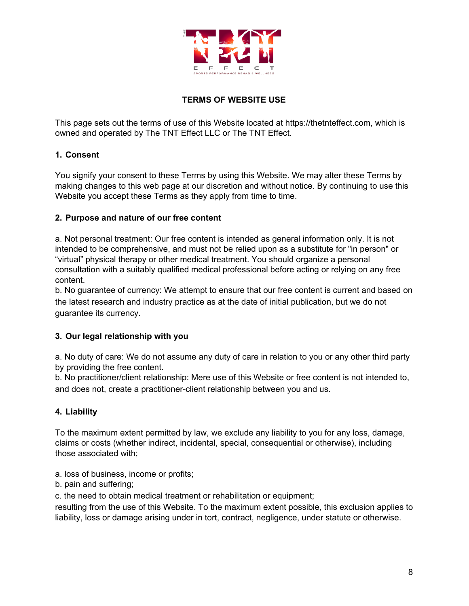

# **TERMS OF WEBSITE USE**

This page sets out the terms of use of this Website located at https://thetnteffect.com, which is owned and operated by The TNT Effect LLC or The TNT Effect.

#### **1. Consent**

You signify your consent to these Terms by using this Website. We may alter these Terms by making changes to this web page at our discretion and without notice. By continuing to use this Website you accept these Terms as they apply from time to time.

#### **2. Purpose and nature of our free content**

a. Not personal treatment: Our free content is intended as general information only. It is not intended to be comprehensive, and must not be relied upon as a substitute for "in person" or "virtual" physical therapy or other medical treatment. You should organize a personal consultation with a suitably qualified medical professional before acting or relying on any free content.

b. No guarantee of currency: We attempt to ensure that our free content is current and based on the latest research and industry practice as at the date of initial publication, but we do not guarantee its currency.

## **3. Our legal relationship with you**

a. No duty of care: We do not assume any duty of care in relation to you or any other third party by providing the free content.

b. No practitioner/client relationship: Mere use of this Website or free content is not intended to, and does not, create a practitioner-client relationship between you and us.

## **4. Liability**

To the maximum extent permitted by law, we exclude any liability to you for any loss, damage, claims or costs (whether indirect, incidental, special, consequential or otherwise), including those associated with;

a. loss of business, income or profits;

b. pain and suffering;

c. the need to obtain medical treatment or rehabilitation or equipment;

resulting from the use of this Website. To the maximum extent possible, this exclusion applies to liability, loss or damage arising under in tort, contract, negligence, under statute or otherwise.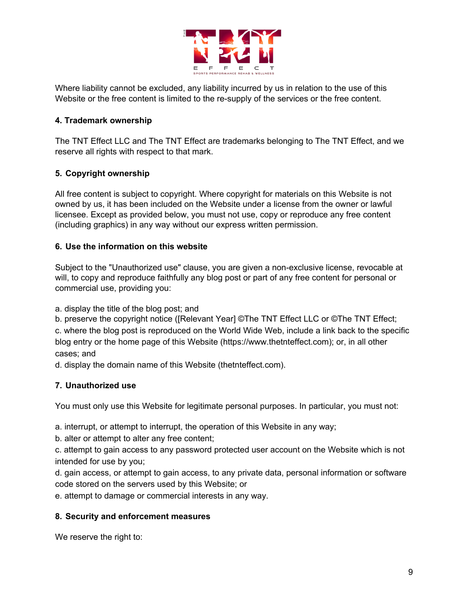

Where liability cannot be excluded, any liability incurred by us in relation to the use of this Website or the free content is limited to the re-supply of the services or the free content.

## **4. Trademark ownership**

The TNT Effect LLC and The TNT Effect are trademarks belonging to The TNT Effect, and we reserve all rights with respect to that mark.

#### **5. Copyright ownership**

All free content is subject to copyright. Where copyright for materials on this Website is not owned by us, it has been included on the Website under a license from the owner or lawful licensee. Except as provided below, you must not use, copy or reproduce any free content (including graphics) in any way without our express written permission.

#### **6. Use the information on this website**

Subject to the "Unauthorized use" clause, you are given a non-exclusive license, revocable at will, to copy and reproduce faithfully any blog post or part of any free content for personal or commercial use, providing you:

a. display the title of the blog post; and

b. preserve the copyright notice ([Relevant Year] ©The TNT Effect LLC or ©The TNT Effect; c. where the blog post is reproduced on the World Wide Web, include a link back to the specific blog entry or the home page of this Website (https://www.thetnteffect.com); or, in all other cases; and

d. display the domain name of this Website (thetnteffect.com).

#### **7. Unauthorized use**

You must only use this Website for legitimate personal purposes. In particular, you must not:

a. interrupt, or attempt to interrupt, the operation of this Website in any way;

b. alter or attempt to alter any free content;

c. attempt to gain access to any password protected user account on the Website which is not intended for use by you;

d. gain access, or attempt to gain access, to any private data, personal information or software code stored on the servers used by this Website; or

e. attempt to damage or commercial interests in any way.

#### **8. Security and enforcement measures**

We reserve the right to: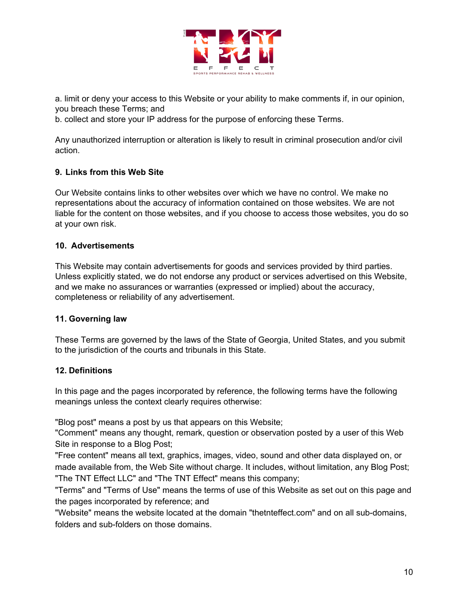

a. limit or deny your access to this Website or your ability to make comments if, in our opinion, you breach these Terms; and

b. collect and store your IP address for the purpose of enforcing these Terms.

Any unauthorized interruption or alteration is likely to result in criminal prosecution and/or civil action.

#### **9. Links from this Web Site**

Our Website contains links to other websites over which we have no control. We make no representations about the accuracy of information contained on those websites. We are not liable for the content on those websites, and if you choose to access those websites, you do so at your own risk.

#### **10. Advertisements**

This Website may contain advertisements for goods and services provided by third parties. Unless explicitly stated, we do not endorse any product or services advertised on this Website, and we make no assurances or warranties (expressed or implied) about the accuracy, completeness or reliability of any advertisement.

#### **11. Governing law**

These Terms are governed by the laws of the State of Georgia, United States, and you submit to the jurisdiction of the courts and tribunals in this State.

#### **12. Definitions**

In this page and the pages incorporated by reference, the following terms have the following meanings unless the context clearly requires otherwise:

"Blog post" means a post by us that appears on this Website;

"Comment" means any thought, remark, question or observation posted by a user of this Web Site in response to a Blog Post;

"Free content" means all text, graphics, images, video, sound and other data displayed on, or made available from, the Web Site without charge. It includes, without limitation, any Blog Post; "The TNT Effect LLC" and "The TNT Effect" means this company;

"Terms" and "Terms of Use" means the terms of use of this Website as set out on this page and the pages incorporated by reference; and

"Website" means the website located at the domain "thetnteffect.com" and on all sub-domains, folders and sub-folders on those domains.